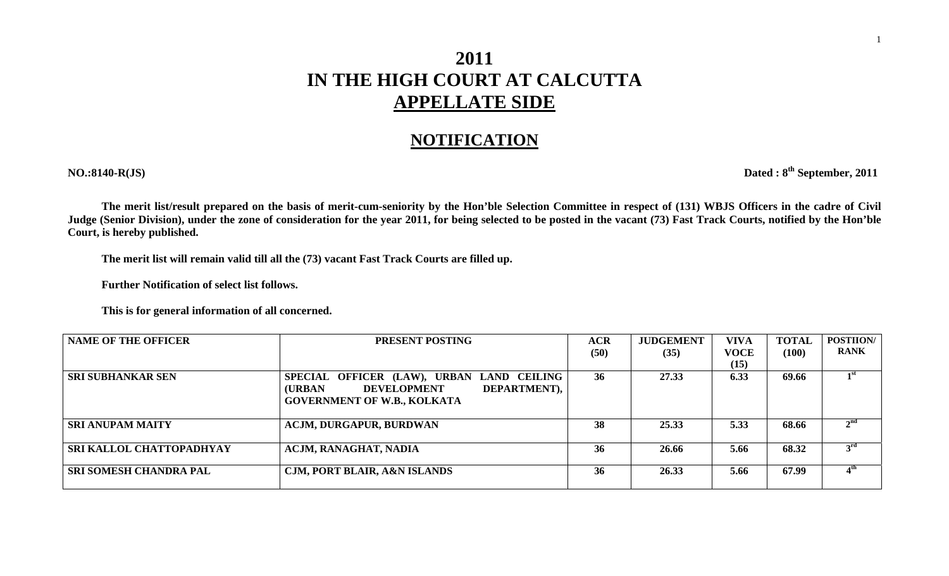## **2011 IN THE HIGH COURT AT CALCUTTA APPELLATE SIDE**

## **NOTIFICATION**

**NO.:8140-R(JS) Dated : 8th September, 2011** 

**The merit list/result prepared on the basis of merit-cum-seniority by the Hon'ble Selection Committee in respect of (131) WBJS Officers in the cadre of Civil Judge (Senior Division), under the zone of consideration for the year 2011, for being selected to be posted in the vacant (73) Fast Track Courts, notified by the Hon'ble Court, is hereby published.** 

**The merit list will remain valid till all the (73) vacant Fast Track Courts are filled up.** 

 **Further Notification of select list follows.** 

 **This is for general information of all concerned.** 

| <b>NAME OF THE OFFICER</b>    | PRESENT POSTING                                      | <b>ACR</b> | <b>JUDGEMENT</b> | <b>VIVA</b> | <b>TOTAL</b> | <b>POSTIION/</b>           |
|-------------------------------|------------------------------------------------------|------------|------------------|-------------|--------------|----------------------------|
|                               |                                                      | (50)       | (35)             | VOCE        | (100)        | <b>RANK</b>                |
|                               |                                                      |            |                  | (15)        |              |                            |
| <b>SRI SUBHANKAR SEN</b>      | SPECIAL OFFICER (LAW), URBAN LAND CEILING            | 36         | 27.33            | 6.33        | 69.66        | $\mathbf{1}^{\mathrm{st}}$ |
|                               | <b>(URBAN)</b><br>DEPARTMENT),<br><b>DEVELOPMENT</b> |            |                  |             |              |                            |
|                               | <b>GOVERNMENT OF W.B., KOLKATA</b>                   |            |                  |             |              |                            |
|                               |                                                      |            |                  |             |              |                            |
| <b>SRI ANUPAM MAITY</b>       | <b>ACJM, DURGAPUR, BURDWAN</b>                       | 38         | 25.33            | 5.33        | 68.66        | 2 <sup>nd</sup>            |
|                               |                                                      |            |                  |             |              |                            |
| SRI KALLOL CHATTOPADHYAY      | ACJM, RANAGHAT, NADIA                                | 36         | 26.66            | 5.66        | 68.32        | 3 <sup>rd</sup>            |
|                               |                                                      |            |                  |             |              |                            |
| <b>SRI SOMESH CHANDRA PAL</b> | <b>CJM, PORT BLAIR, A&amp;N ISLANDS</b>              | 36         | 26.33            | 5.66        | 67.99        | 4 <sup>th</sup>            |
|                               |                                                      |            |                  |             |              |                            |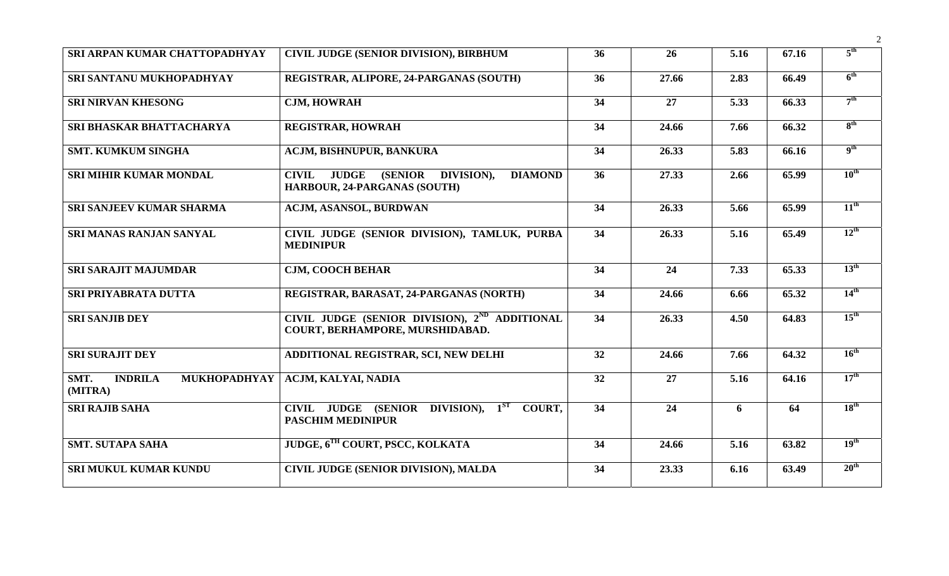| SRI ARPAN KUMAR CHATTOPADHYAY                            | <b>CIVIL JUDGE (SENIOR DIVISION), BIRBHUM</b>                                                                   | 36              | 26              | 5.16              | 67.16 | $5^{\text{th}}$  |
|----------------------------------------------------------|-----------------------------------------------------------------------------------------------------------------|-----------------|-----------------|-------------------|-------|------------------|
| SRI SANTANU MUKHOPADHYAY                                 | REGISTRAR, ALIPORE, 24-PARGANAS (SOUTH)                                                                         | 36              | 27.66           | 2.83              | 66.49 | 6 <sup>th</sup>  |
| <b>SRI NIRVAN KHESONG</b>                                | <b>CJM, HOWRAH</b>                                                                                              | $\overline{34}$ | $\overline{27}$ | $\overline{5.33}$ | 66.33 | 7 <sup>th</sup>  |
| <b>SRI BHASKAR BHATTACHARYA</b>                          | <b>REGISTRAR, HOWRAH</b>                                                                                        | 34              | 24.66           | 7.66              | 66.32 | 8 <sup>th</sup>  |
| <b>SMT. KUMKUM SINGHA</b>                                | <b>ACJM, BISHNUPUR, BANKURA</b>                                                                                 | 34              | 26.33           | 5.83              | 66.16 | 9 <sup>th</sup>  |
| <b>SRI MIHIR KUMAR MONDAL</b>                            | <b>JUDGE</b><br><b>(SENIOR)</b><br><b>CIVIL</b><br>DIVISION),<br><b>DIAMOND</b><br>HARBOUR, 24-PARGANAS (SOUTH) | 36              | 27.33           | 2.66              | 65.99 | $10^{\text{th}}$ |
| <b>SRI SANJEEV KUMAR SHARMA</b>                          | <b>ACJM, ASANSOL, BURDWAN</b>                                                                                   | 34              | 26.33           | 5.66              | 65.99 | $11^{\text{th}}$ |
| <b>SRI MANAS RANJAN SANYAL</b>                           | CIVIL JUDGE (SENIOR DIVISION), TAMLUK, PURBA<br><b>MEDINIPUR</b>                                                | 34              | 26.33           | 5.16              | 65.49 | $12^{\text{th}}$ |
| <b>SRI SARAJIT MAJUMDAR</b>                              | <b>CJM, COOCH BEHAR</b>                                                                                         | 34              | 24              | 7.33              | 65.33 | $13^{\text{th}}$ |
| SRI PRIYABRATA DUTTA                                     | REGISTRAR, BARASAT, 24-PARGANAS (NORTH)                                                                         | 34              | 24.66           | 6.66              | 65.32 | $14^{\text{th}}$ |
| <b>SRI SANJIB DEY</b>                                    | CIVIL JUDGE (SENIOR DIVISION), 2 <sup>ND</sup> ADDITIONAL<br>COURT, BERHAMPORE, MURSHIDABAD.                    | 34              | 26.33           | 4.50              | 64.83 | $15^{\text{th}}$ |
| <b>SRI SURAJIT DEY</b>                                   | ADDITIONAL REGISTRAR, SCI, NEW DELHI                                                                            | 32              | 24.66           | 7.66              | 64.32 | $16^{\text{th}}$ |
| SMT.<br><b>INDRILA</b><br><b>MUKHOPADHYAY</b><br>(MITRA) | ACJM, KALYAI, NADIA                                                                                             | 32              | 27              | 5.16              | 64.16 | $17^{\text{th}}$ |
| <b>SRI RAJIB SAHA</b>                                    | CIVIL JUDGE (SENIOR DIVISION), 1 <sup>ST</sup> COURT,<br><b>PASCHIM MEDINIPUR</b>                               | 34              | 24              | 6                 | 64    | 18 <sup>th</sup> |
| <b>SMT. SUTAPA SAHA</b>                                  | JUDGE, 6TH COURT, PSCC, KOLKATA                                                                                 | 34              | 24.66           | 5.16              | 63.82 | 19 <sup>th</sup> |
| SRI MUKUL KUMAR KUNDU                                    | <b>CIVIL JUDGE (SENIOR DIVISION), MALDA</b>                                                                     | 34              | 23.33           | 6.16              | 63.49 | $20^{\text{th}}$ |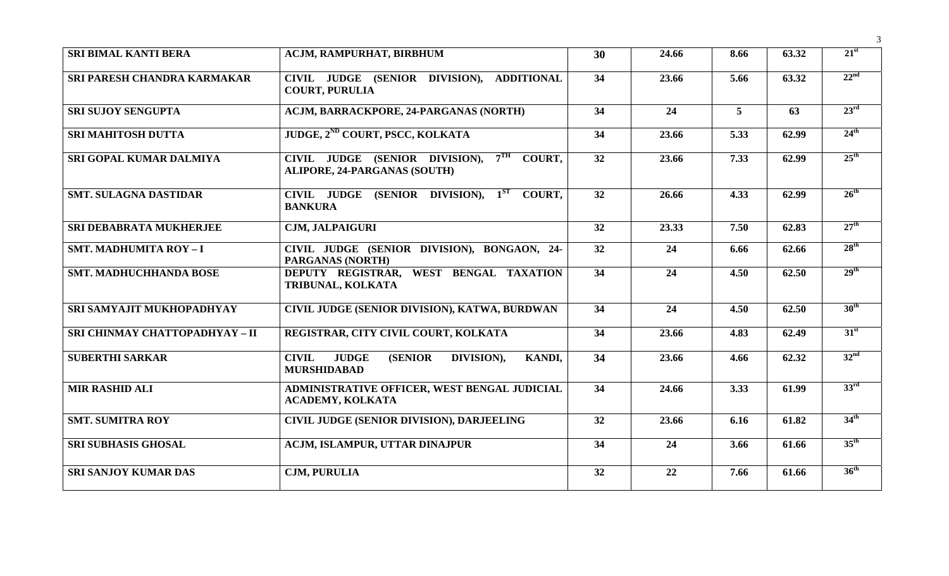| <b>SRI BIMAL KANTI BERA</b>    | ACJM, RAMPURHAT, BIRBHUM                                                                             | 30 | 24.66 | 8.66           | 63.32 | $21^{\rm st}$    |
|--------------------------------|------------------------------------------------------------------------------------------------------|----|-------|----------------|-------|------------------|
| SRI PARESH CHANDRA KARMAKAR    | CIVIL JUDGE (SENIOR DIVISION),<br><b>ADDITIONAL</b><br><b>COURT, PURULIA</b>                         | 34 | 23.66 | 5.66           | 63.32 | 22 <sup>nd</sup> |
| <b>SRI SUJOY SENGUPTA</b>      | <b>ACJM, BARRACKPORE, 24-PARGANAS (NORTH)</b>                                                        | 34 | 24    | $\overline{5}$ | 63    | $23^{\text{rd}}$ |
| <b>SRI MAHITOSH DUTTA</b>      | JUDGE, 2 <sup>ND</sup> COURT, PSCC, KOLKATA                                                          | 34 | 23.66 | 5.33           | 62.99 | $24^{\text{th}}$ |
| SRI GOPAL KUMAR DALMIYA        | $7^{\text{TH}}$<br>COURT,<br>CIVIL JUDGE (SENIOR DIVISION),<br><b>ALIPORE, 24-PARGANAS (SOUTH)</b>   | 32 | 23.66 | 7.33           | 62.99 | $25^{\text{th}}$ |
| <b>SMT. SULAGNA DASTIDAR</b>   | CIVIL JUDGE (SENIOR DIVISION), 1 <sup>ST</sup> COURT,<br><b>BANKURA</b>                              | 32 | 26.66 | 4.33           | 62.99 | $26^{\text{th}}$ |
| <b>SRI DEBABRATA MUKHERJEE</b> | <b>CJM, JALPAIGURI</b>                                                                               | 32 | 23.33 | 7.50           | 62.83 | $27^{\text{th}}$ |
| <b>SMT. MADHUMITA ROY-I</b>    | CIVIL JUDGE (SENIOR DIVISION), BONGAON, 24-<br>PARGANAS (NORTH)                                      | 32 | 24    | 6.66           | 62.66 | 28 <sup>th</sup> |
| <b>SMT. MADHUCHHANDA BOSE</b>  | DEPUTY REGISTRAR, WEST BENGAL TAXATION<br>TRIBUNAL, KOLKATA                                          | 34 | 24    | 4.50           | 62.50 | 29 <sup>th</sup> |
| SRI SAMYAJIT MUKHOPADHYAY      | CIVIL JUDGE (SENIOR DIVISION), KATWA, BURDWAN                                                        | 34 | 24    | 4.50           | 62.50 | 30 <sup>th</sup> |
| SRI CHINMAY CHATTOPADHYAY - II | REGISTRAR, CITY CIVIL COURT, KOLKATA                                                                 | 34 | 23.66 | 4.83           | 62.49 | $31^{st}$        |
| <b>SUBERTHI SARKAR</b>         | <b>JUDGE</b><br><b>CIVIL</b><br><b>(SENIOR)</b><br>DIVISION),<br><b>KANDI,</b><br><b>MURSHIDABAD</b> | 34 | 23.66 | 4.66           | 62.32 | 32 <sup>nd</sup> |
| <b>MIR RASHID ALI</b>          | ADMINISTRATIVE OFFICER, WEST BENGAL JUDICIAL<br><b>ACADEMY, KOLKATA</b>                              | 34 | 24.66 | 3.33           | 61.99 | 33 <sup>rd</sup> |
| <b>SMT. SUMITRA ROY</b>        | CIVIL JUDGE (SENIOR DIVISION), DARJEELING                                                            | 32 | 23.66 | 6.16           | 61.82 | 34 <sup>th</sup> |
| <b>SRI SUBHASIS GHOSAL</b>     | ACJM, ISLAMPUR, UTTAR DINAJPUR                                                                       | 34 | 24    | 3.66           | 61.66 | $35^{\text{th}}$ |
| <b>SRI SANJOY KUMAR DAS</b>    | <b>CJM, PURULIA</b>                                                                                  | 32 | 22    | 7.66           | 61.66 | 36 <sup>th</sup> |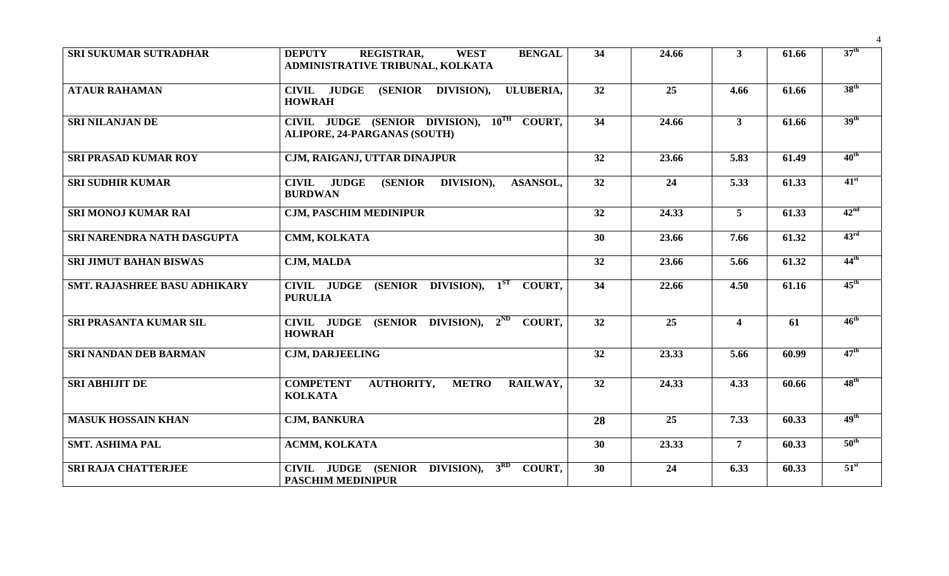| <b>SRI SUKUMAR SUTRADHAR</b>        | <b>REGISTRAR,</b><br><b>BENGAL</b><br><b>DEPUTY</b><br><b>WEST</b><br>ADMINISTRATIVE TRIBUNAL, KOLKATA | 34              | 24.66 | 3 <sup>1</sup>          | 61.66 | 37 <sup>th</sup> |
|-------------------------------------|--------------------------------------------------------------------------------------------------------|-----------------|-------|-------------------------|-------|------------------|
| <b>ATAUR RAHAMAN</b>                | CIVIL JUDGE (SENIOR DIVISION),<br>ULUBERIA,<br><b>HOWRAH</b>                                           | 32              | 25    | 4.66                    | 61.66 | 38 <sup>th</sup> |
| <b>SRI NILANJAN DE</b>              | CIVIL JUDGE (SENIOR DIVISION), 10TH COURT,<br><b>ALIPORE, 24-PARGANAS (SOUTH)</b>                      | 34              | 24.66 | $\mathbf{3}$            | 61.66 | 39 <sup>th</sup> |
| <b>SRI PRASAD KUMAR ROY</b>         | CJM, RAIGANJ, UTTAR DINAJPUR                                                                           | 32              | 23.66 | 5.83                    | 61.49 | $40^{\text{th}}$ |
| <b>SRI SUDHIR KUMAR</b>             | <b>JUDGE</b><br><b>(SENIOR)</b><br>DIVISION),<br><b>CIVIL</b><br><b>ASANSOL,</b><br><b>BURDWAN</b>     | $\overline{32}$ | 24    | 5.33                    | 61.33 | $41^{\rm st}$    |
| <b>SRI MONOJ KUMAR RAI</b>          | <b>CJM, PASCHIM MEDINIPUR</b>                                                                          | 32              | 24.33 | $5\overline{)}$         | 61.33 | 42 <sup>nd</sup> |
| SRI NARENDRA NATH DASGUPTA          | CMM, KOLKATA                                                                                           | 30              | 23.66 | 7.66                    | 61.32 | 43 <sup>rd</sup> |
| <b>SRI JIMUT BAHAN BISWAS</b>       | <b>CJM, MALDA</b>                                                                                      | 32              | 23.66 | 5.66                    | 61.32 | $44^{\text{th}}$ |
| <b>SMT. RAJASHREE BASU ADHIKARY</b> | <b>CIVIL JUDGE</b><br>(SENIOR DIVISION), $1^{ST}$<br>COURT.<br><b>PURULIA</b>                          | $\overline{34}$ | 22.66 | 4.50                    | 61.16 | $45^{\text{th}}$ |
| SRI PRASANTA KUMAR SIL              | CIVIL JUDGE (SENIOR DIVISION), 2 <sup>ND</sup><br>COURT,<br><b>HOWRAH</b>                              | 32              | 25    | $\overline{\mathbf{4}}$ | 61    | $46^{\text{th}}$ |
| <b>SRI NANDAN DEB BARMAN</b>        | <b>CJM, DARJEELING</b>                                                                                 | 32              | 23.33 | 5.66                    | 60.99 | $47^{\text{th}}$ |
| <b>SRI ABHIJIT DE</b>               | <b>COMPETENT</b><br><b>AUTHORITY,</b><br><b>METRO</b><br>RAILWAY,<br><b>KOLKATA</b>                    | 32              | 24.33 | 4.33                    | 60.66 | $48^{\text{th}}$ |
| <b>MASUK HOSSAIN KHAN</b>           | <b>CJM, BANKURA</b>                                                                                    | 28              | 25    | 7.33                    | 60.33 | 49 <sup>th</sup> |
| <b>SMT. ASHIMA PAL</b>              | <b>ACMM, KOLKATA</b>                                                                                   | 30              | 23.33 | $\overline{7}$          | 60.33 | $50^{\text{th}}$ |
| <b>SRI RAJA CHATTERJEE</b>          | 3 <sup>RD</sup><br>CIVIL JUDGE (SENIOR DIVISION),<br>COURT,<br><b>PASCHIM MEDINIPUR</b>                | 30              | 24    | 6.33                    | 60.33 | $51^{\rm st}$    |

4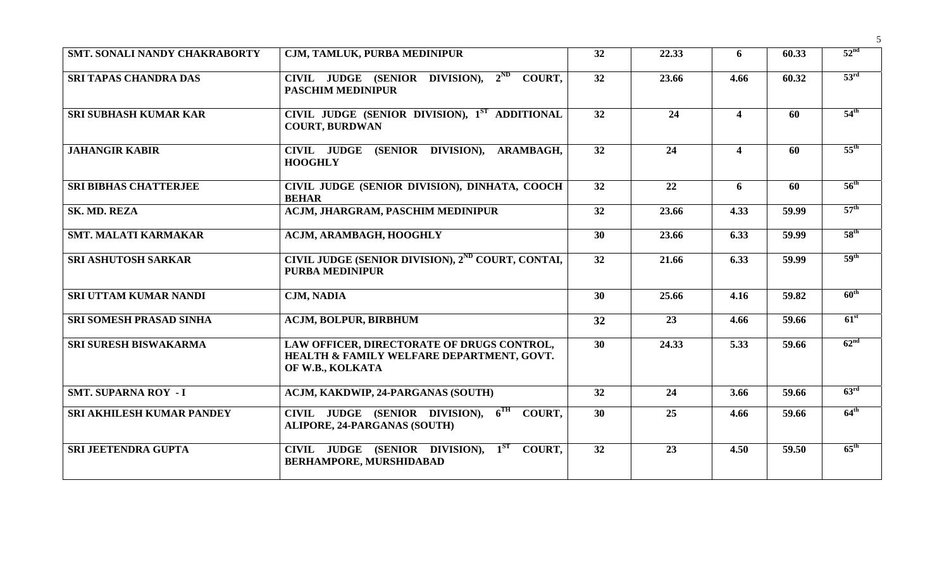| SMT. SONALI NANDY CHAKRABORTY    | CJM, TAMLUK, PURBA MEDINIPUR                                                                                | 32              | 22.33 | 6                       | 60.33 | 52 <sup>nd</sup>         |
|----------------------------------|-------------------------------------------------------------------------------------------------------------|-----------------|-------|-------------------------|-------|--------------------------|
|                                  |                                                                                                             |                 |       |                         |       |                          |
| <b>SRI TAPAS CHANDRA DAS</b>     | CIVIL JUDGE (SENIOR DIVISION), $2^{ND}$<br><b>COURT.</b><br><b>PASCHIM MEDINIPUR</b>                        | 32              | 23.66 | 4.66                    | 60.32 | 53 <sup>rd</sup>         |
| <b>SRI SUBHASH KUMAR KAR</b>     | CIVIL JUDGE (SENIOR DIVISION), 1ST ADDITIONAL<br><b>COURT, BURDWAN</b>                                      | 32              | 24    | $\overline{\mathbf{4}}$ | 60    | $54^{\text{th}}$         |
| <b>JAHANGIR KABIR</b>            | (SENIOR DIVISION),<br><b>CIVIL JUDGE</b><br>ARAMBAGH,<br><b>HOOGHLY</b>                                     | 32              | 24    | $\overline{\mathbf{4}}$ | 60    | $55^{\text{th}}$         |
| <b>SRI BIBHAS CHATTERJEE</b>     | CIVIL JUDGE (SENIOR DIVISION), DINHATA, COOCH<br><b>BEHAR</b>                                               | 32              | 22    | 6                       | 60    | $56^{\text{th}}$         |
| SK. MD. REZA                     | <b>ACJM, JHARGRAM, PASCHIM MEDINIPUR</b>                                                                    | 32              | 23.66 | 4.33                    | 59.99 | $57^{\text{th}}$         |
| <b>SMT. MALATI KARMAKAR</b>      | <b>ACJM, ARAMBAGH, HOOGHLY</b>                                                                              | 30              | 23.66 | 6.33                    | 59.99 | 58 <sup>th</sup>         |
| <b>SRI ASHUTOSH SARKAR</b>       | CIVIL JUDGE (SENIOR DIVISION), 2 <sup>ND</sup> COURT, CONTAI,<br><b>PURBA MEDINIPUR</b>                     | $\overline{32}$ | 21.66 | 6.33                    | 59.99 | 59 <sup>th</sup>         |
| <b>SRI UTTAM KUMAR NANDI</b>     | <b>CJM, NADIA</b>                                                                                           | 30              | 25.66 | 4.16                    | 59.82 | $60^{\text{th}}$         |
| <b>SRI SOMESH PRASAD SINHA</b>   | <b>ACJM, BOLPUR, BIRBHUM</b>                                                                                | 32              | 23    | 4.66                    | 59.66 | $\overline{61}^{\rm st}$ |
| <b>SRI SURESH BISWAKARMA</b>     | LAW OFFICER, DIRECTORATE OF DRUGS CONTROL,<br>HEALTH & FAMILY WELFARE DEPARTMENT, GOVT.<br>OF W.B., KOLKATA | 30              | 24.33 | 5.33                    | 59.66 | 62 <sup>nd</sup>         |
| <b>SMT. SUPARNA ROY - I</b>      | ACJM, KAKDWIP, 24-PARGANAS (SOUTH)                                                                          | 32              | 24    | 3.66                    | 59.66 | 63 <sup>rd</sup>         |
| <b>SRI AKHILESH KUMAR PANDEY</b> | CIVIL JUDGE (SENIOR DIVISION), 6TH<br><b>COURT.</b><br><b>ALIPORE, 24-PARGANAS (SOUTH)</b>                  | 30              | 25    | 4.66                    | 59.66 | $64^{\text{th}}$         |
| <b>SRI JEETENDRA GUPTA</b>       | $1^{ST}$<br>CIVIL JUDGE (SENIOR DIVISION),<br>COURT.<br><b>BERHAMPORE, MURSHIDABAD</b>                      | 32              | 23    | 4.50                    | 59.50 | $65^{\text{th}}$         |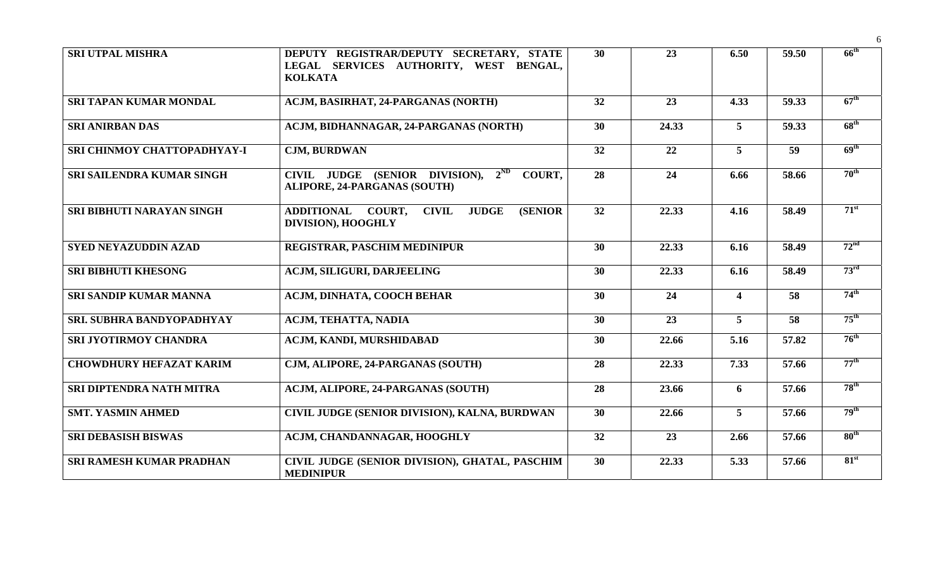| <b>SRI UTPAL MISHRA</b>          | DEPUTY REGISTRAR/DEPUTY SECRETARY, STATE<br>LEGAL SERVICES AUTHORITY, WEST BENGAL,<br><b>KOLKATA</b> | 30 | 23    | 6.50                    | 59.50 | $66^{\text{th}}$ |
|----------------------------------|------------------------------------------------------------------------------------------------------|----|-------|-------------------------|-------|------------------|
| <b>SRI TAPAN KUMAR MONDAL</b>    | ACJM, BASIRHAT, 24-PARGANAS (NORTH)                                                                  | 32 | 23    | 4.33                    | 59.33 | $67^{\text{th}}$ |
| <b>SRI ANIRBAN DAS</b>           | ACJM, BIDHANNAGAR, 24-PARGANAS (NORTH)                                                               | 30 | 24.33 | $\overline{5}$          | 59.33 | 68 <sup>th</sup> |
| SRI CHINMOY CHATTOPADHYAY-I      | <b>CJM, BURDWAN</b>                                                                                  | 32 | 22    | $\overline{5}$          | 59    | 69 <sup>th</sup> |
| <b>SRI SAILENDRA KUMAR SINGH</b> | $2^{ND}$<br>CIVIL JUDGE (SENIOR DIVISION),<br>COUNT,<br><b>ALIPORE, 24-PARGANAS (SOUTH)</b>          | 28 | 24    | 6.66                    | 58.66 | $70^{\text{th}}$ |
| SRI BIBHUTI NARAYAN SINGH        | <b>ADDITIONAL</b><br>COURT,<br><b>CIVIL</b><br><b>JUDGE</b><br><b>(SENIOR)</b><br>DIVISION), HOOGHLY | 32 | 22.33 | 4.16                    | 58.49 | $71^{st}$        |
| <b>SYED NEYAZUDDIN AZAD</b>      | REGISTRAR, PASCHIM MEDINIPUR                                                                         | 30 | 22.33 | 6.16                    | 58.49 | 72 <sup>nd</sup> |
| <b>SRI BIBHUTI KHESONG</b>       | <b>ACJM, SILIGURI, DARJEELING</b>                                                                    | 30 | 22.33 | 6.16                    | 58.49 | 73 <sup>rd</sup> |
| SRI SANDIP KUMAR MANNA           | ACJM, DINHATA, COOCH BEHAR                                                                           | 30 | 24    | $\overline{\mathbf{4}}$ | 58    | $74^{\text{th}}$ |
| <b>SRI. SUBHRA BANDYOPADHYAY</b> | ACJM, TEHATTA, NADIA                                                                                 | 30 | 23    | 5                       | 58    | $75^{\text{th}}$ |
| SRI JYOTIRMOY CHANDRA            | ACJM, KANDI, MURSHIDABAD                                                                             | 30 | 22.66 | 5.16                    | 57.82 | $76^{\text{th}}$ |
| <b>CHOWDHURY HEFAZAT KARIM</b>   | CJM, ALIPORE, 24-PARGANAS (SOUTH)                                                                    | 28 | 22.33 | 7.33                    | 57.66 | $77^{\text{th}}$ |
| <b>SRI DIPTENDRA NATH MITRA</b>  | ACJM, ALIPORE, 24-PARGANAS (SOUTH)                                                                   | 28 | 23.66 | 6                       | 57.66 | $78^{\text{th}}$ |
| <b>SMT. YASMIN AHMED</b>         | CIVIL JUDGE (SENIOR DIVISION), KALNA, BURDWAN                                                        | 30 | 22.66 | $\overline{5}$          | 57.66 | 79 <sup>th</sup> |
| <b>SRI DEBASISH BISWAS</b>       | ACJM, CHANDANNAGAR, HOOGHLY                                                                          | 32 | 23    | 2.66                    | 57.66 | 80 <sup>th</sup> |
| <b>SRI RAMESH KUMAR PRADHAN</b>  | CIVIL JUDGE (SENIOR DIVISION), GHATAL, PASCHIM<br><b>MEDINIPUR</b>                                   | 30 | 22.33 | 5.33                    | 57.66 | 81 <sup>st</sup> |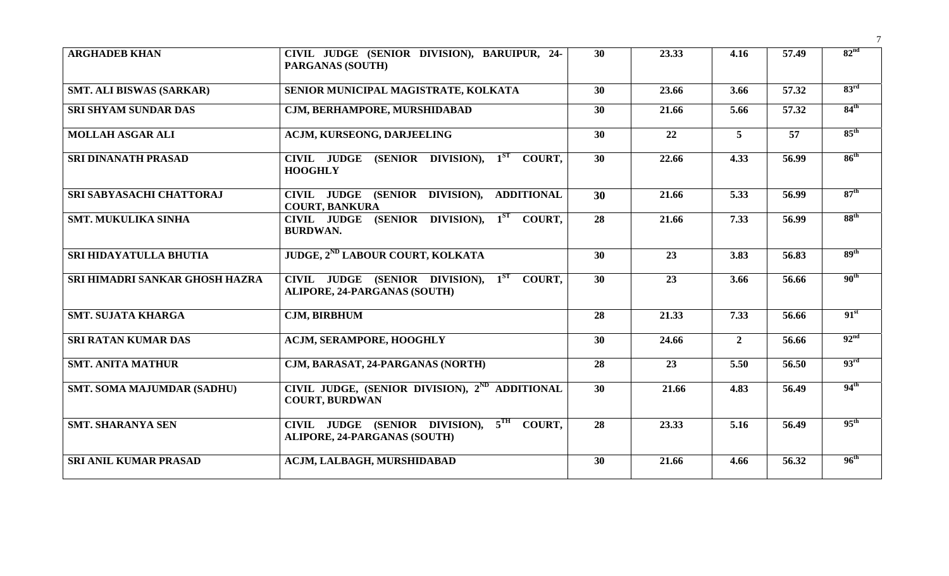| <b>ARGHADEB KHAN</b>              | CIVIL JUDGE (SENIOR DIVISION), BARUIPUR, 24-<br><b>PARGANAS (SOUTH)</b>             | 30              | 23.33 | 4.16           | 57.49 | 82 <sup>nd</sup> |
|-----------------------------------|-------------------------------------------------------------------------------------|-----------------|-------|----------------|-------|------------------|
| <b>SMT. ALI BISWAS (SARKAR)</b>   | SENIOR MUNICIPAL MAGISTRATE, KOLKATA                                                | 30              | 23.66 | 3.66           | 57.32 | 83 <sup>rd</sup> |
| <b>SRI SHYAM SUNDAR DAS</b>       | CJM, BERHAMPORE, MURSHIDABAD                                                        | 30              | 21.66 | 5.66           | 57.32 | 84 <sup>th</sup> |
| <b>MOLLAH ASGAR ALI</b>           | <b>ACJM, KURSEONG, DARJEELING</b>                                                   | 30              | 22    | $\overline{5}$ | 57    | $85^{\text{th}}$ |
| <b>SRI DINANATH PRASAD</b>        | CIVIL JUDGE (SENIOR DIVISION), 1 <sup>ST</sup> COURT,<br><b>HOOGHLY</b>             | 30              | 22.66 | 4.33           | 56.99 | $86^{th}$        |
| SRI SABYASACHI CHATTORAJ          | CIVIL JUDGE (SENIOR DIVISION), ADDITIONAL<br><b>COURT, BANKURA</b>                  | 30              | 21.66 | 5.33           | 56.99 | 87 <sup>th</sup> |
| <b>SMT. MUKULIKA SINHA</b>        | CIVIL JUDGE (SENIOR DIVISION), 1ST COURT,<br><b>BURDWAN.</b>                        | $\overline{28}$ | 21.66 | 7.33           | 56.99 | 88 <sup>th</sup> |
| SRI HIDAYATULLA BHUTIA            | <b>JUDGE, 2<sup>ND</sup> LABOUR COURT, KOLKATA</b>                                  | 30              | 23    | 3.83           | 56.83 | 89 <sup>th</sup> |
| SRI HIMADRI SANKAR GHOSH HAZRA    | CIVIL JUDGE (SENIOR DIVISION), 1ST COURT,<br><b>ALIPORE, 24-PARGANAS (SOUTH)</b>    | 30              | 23    | 3.66           | 56.66 | 90 <sup>th</sup> |
| <b>SMT. SUJATA KHARGA</b>         | <b>CJM, BIRBHUM</b>                                                                 | 28              | 21.33 | 7.33           | 56.66 | 91 <sup>st</sup> |
| <b>SRI RATAN KUMAR DAS</b>        | <b>ACJM, SERAMPORE, HOOGHLY</b>                                                     | 30              | 24.66 | $\overline{2}$ | 56.66 | 92 <sup>nd</sup> |
| <b>SMT. ANITA MATHUR</b>          | CJM, BARASAT, 24-PARGANAS (NORTH)                                                   | 28              | 23    | 5.50           | 56.50 | 93 <sup>rd</sup> |
| <b>SMT. SOMA MAJUMDAR (SADHU)</b> | CIVIL JUDGE, (SENIOR DIVISION), 2 <sup>ND</sup> ADDITIONAL<br><b>COURT, BURDWAN</b> | 30              | 21.66 | 4.83           | 56.49 | $94^{\text{th}}$ |
| <b>SMT. SHARANYA SEN</b>          | CIVIL JUDGE (SENIOR DIVISION), 5TH COURT,<br><b>ALIPORE, 24-PARGANAS (SOUTH)</b>    | 28              | 23.33 | 5.16           | 56.49 | $95^{\text{th}}$ |
| <b>SRI ANIL KUMAR PRASAD</b>      | ACJM, LALBAGH, MURSHIDABAD                                                          | 30              | 21.66 | 4.66           | 56.32 | $96^{\text{th}}$ |

7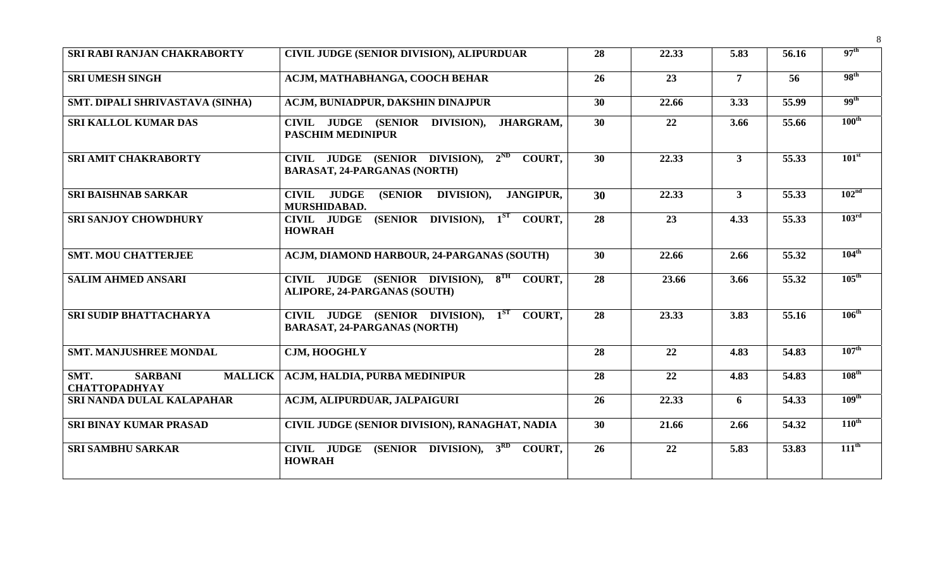| SRI RABI RANJAN CHAKRABORTY                                      | CIVIL JUDGE (SENIOR DIVISION), ALIPURDUAR                                                  | 28              | 22.33 | 5.83           | 56.16 | 97 <sup>th</sup>  |
|------------------------------------------------------------------|--------------------------------------------------------------------------------------------|-----------------|-------|----------------|-------|-------------------|
| <b>SRI UMESH SINGH</b>                                           | ACJM, MATHABHANGA, COOCH BEHAR                                                             | 26              | 23    | $\overline{7}$ | 56    | 98 <sup>th</sup>  |
| SMT. DIPALI SHRIVASTAVA (SINHA)                                  | ACJM, BUNIADPUR, DAKSHIN DINAJPUR                                                          | 30              | 22.66 | 3.33           | 55.99 | 99 <sup>th</sup>  |
| <b>SRI KALLOL KUMAR DAS</b>                                      | CIVIL JUDGE (SENIOR DIVISION), JHARGRAM,<br><b>PASCHIM MEDINIPUR</b>                       | 30              | 22    | 3.66           | 55.66 | $100^{\text{th}}$ |
| <b>SRI AMIT CHAKRABORTY</b>                                      | CIVIL JUDGE (SENIOR DIVISION), $2^{ND}$ COURT,<br><b>BARASAT, 24-PARGANAS (NORTH)</b>      | 30              | 22.33 | 3 <sup>1</sup> | 55.33 | 101 <sup>st</sup> |
| <b>SRI BAISHNAB SARKAR</b>                                       | <b>CIVIL JUDGE</b><br><b>(SENIOR)</b><br>DIVISION),<br><b>JANGIPUR.</b><br>MURSHIDABAD.    | 30              | 22.33 | $\mathbf{3}$   | 55.33 | 102 <sup>nd</sup> |
| <b>SRI SANJOY CHOWDHURY</b>                                      | (SENIOR DIVISION), $1ST$ COURT,<br><b>CIVIL JUDGE</b><br><b>HOWRAH</b>                     | 28              | 23    | 4.33           | 55.33 | 103 <sup>rd</sup> |
| <b>SMT. MOU CHATTERJEE</b>                                       | ACJM, DIAMOND HARBOUR, 24-PARGANAS (SOUTH)                                                 | 30              | 22.66 | 2.66           | 55.32 | $104^{\text{th}}$ |
| <b>SALIM AHMED ANSARI</b>                                        | CIVIL JUDGE (SENIOR DIVISION), 8TH COURT,<br>ALIPORE, 24-PARGANAS (SOUTH)                  | 28              | 23.66 | 3.66           | 55.32 | $105^{\text{th}}$ |
| <b>SRI SUDIP BHATTACHARYA</b>                                    | CIVIL JUDGE (SENIOR DIVISION), 1ST<br><b>COURT.</b><br><b>BARASAT, 24-PARGANAS (NORTH)</b> | $\overline{28}$ | 23.33 | 3.83           | 55.16 | $106^{\text{th}}$ |
| <b>SMT. MANJUSHREE MONDAL</b>                                    | CJM, HOOGHLY                                                                               | 28              | 22    | 4.83           | 54.83 | $107^{\text{th}}$ |
| SMT.<br><b>MALLICK</b><br><b>SARBANI</b><br><b>CHATTOPADHYAY</b> | ACJM, HALDIA, PURBA MEDINIPUR                                                              | 28              | 22    | 4.83           | 54.83 | $108^{\text{th}}$ |
| SRI NANDA DULAL KALAPAHAR                                        | ACJM, ALIPURDUAR, JALPAIGURI                                                               | 26              | 22.33 | 6              | 54.33 | 109 <sup>th</sup> |
| <b>SRI BINAY KUMAR PRASAD</b>                                    | CIVIL JUDGE (SENIOR DIVISION), RANAGHAT, NADIA                                             | 30              | 21.66 | 2.66           | 54.32 | $110^{\text{th}}$ |
| <b>SRI SAMBHU SARKAR</b>                                         | CIVIL JUDGE (SENIOR DIVISION), 3 <sup>RD</sup> COURT,<br><b>HOWRAH</b>                     | 26              | 22    | 5.83           | 53.83 | $111^{\text{th}}$ |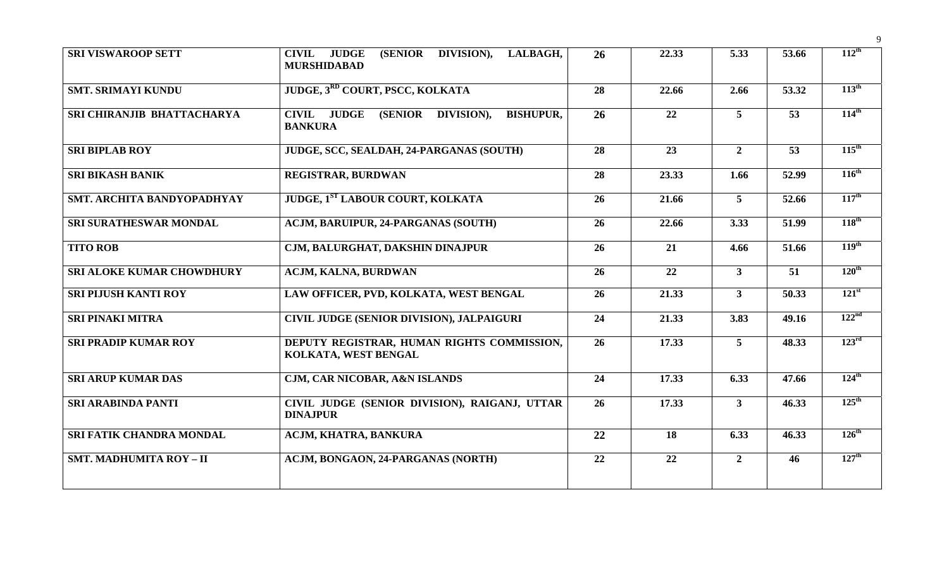| <b>SRI VISWAROOP SETT</b>        | (SENIOR DIVISION),<br><b>JUDGE</b><br>LALBAGH,<br><b>CIVIL</b><br><b>MURSHIDABAD</b> | 26 | 22.33 | 5.33           | 53.66 | $112^{\text{th}}$ |
|----------------------------------|--------------------------------------------------------------------------------------|----|-------|----------------|-------|-------------------|
| <b>SMT. SRIMAYI KUNDU</b>        | JUDGE, 3 <sup>RD</sup> COURT, PSCC, KOLKATA                                          | 28 | 22.66 | 2.66           | 53.32 | $113^{\text{th}}$ |
| SRI CHIRANJIB BHATTACHARYA       | <b>CIVIL JUDGE</b><br>(SENIOR DIVISION),<br><b>BISHUPUR,</b><br><b>BANKURA</b>       | 26 | 22    | $\overline{5}$ | 53    | $114^{\text{th}}$ |
| <b>SRI BIPLAB ROY</b>            | JUDGE, SCC, SEALDAH, 24-PARGANAS (SOUTH)                                             | 28 | 23    | $\overline{2}$ | 53    | $115^{\text{th}}$ |
| <b>SRI BIKASH BANIK</b>          | <b>REGISTRAR, BURDWAN</b>                                                            | 28 | 23.33 | 1.66           | 52.99 | $116^{\text{th}}$ |
| SMT. ARCHITA BANDYOPADHYAY       | <b>JUDGE, 1ST LABOUR COURT, KOLKATA</b>                                              | 26 | 21.66 | 5 <sup>5</sup> | 52.66 | $117^{\text{th}}$ |
| <b>SRI SURATHESWAR MONDAL</b>    | <b>ACJM, BARUIPUR, 24-PARGANAS (SOUTH)</b>                                           | 26 | 22.66 | 3.33           | 51.99 | $118^{\text{th}}$ |
| <b>TITO ROB</b>                  | CJM, BALURGHAT, DAKSHIN DINAJPUR                                                     | 26 | 21    | 4.66           | 51.66 | 119 <sup>th</sup> |
| <b>SRI ALOKE KUMAR CHOWDHURY</b> | ACJM, KALNA, BURDWAN                                                                 | 26 | 22    | 3 <sup>1</sup> | 51    | $120^{\text{th}}$ |
| <b>SRI PIJUSH KANTI ROY</b>      | LAW OFFICER, PVD, KOLKATA, WEST BENGAL                                               | 26 | 21.33 | 3 <sup>1</sup> | 50.33 | $121^{st}$        |
| <b>SRI PINAKI MITRA</b>          | <b>CIVIL JUDGE (SENIOR DIVISION), JALPAIGURI</b>                                     | 24 | 21.33 | 3.83           | 49.16 | 122 <sup>nd</sup> |
| <b>SRI PRADIP KUMAR ROY</b>      | DEPUTY REGISTRAR, HUMAN RIGHTS COMMISSION,<br>KOLKATA, WEST BENGAL                   | 26 | 17.33 | 5 <sup>5</sup> | 48.33 | $123^{\text{rd}}$ |
| <b>SRI ARUP KUMAR DAS</b>        | CJM, CAR NICOBAR, A&N ISLANDS                                                        | 24 | 17.33 | 6.33           | 47.66 | $124^{\text{th}}$ |
| <b>SRI ARABINDA PANTI</b>        | CIVIL JUDGE (SENIOR DIVISION), RAIGANJ, UTTAR<br><b>DINAJPUR</b>                     | 26 | 17.33 | $\overline{3}$ | 46.33 | $125^{\text{th}}$ |
| SRI FATIK CHANDRA MONDAL         | ACJM, KHATRA, BANKURA                                                                | 22 | 18    | 6.33           | 46.33 | $126^{\text{th}}$ |
| <b>SMT. MADHUMITA ROY - II</b>   | ACJM, BONGAON, 24-PARGANAS (NORTH)                                                   | 22 | 22    | $\overline{2}$ | 46    | $127^{\text{th}}$ |